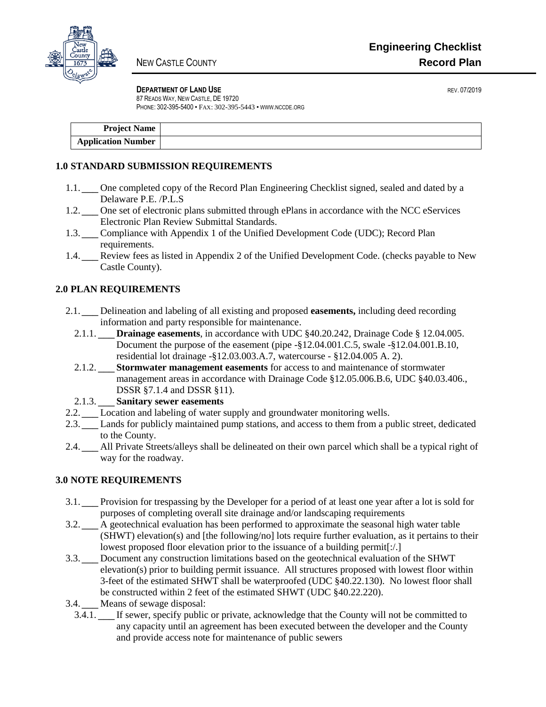

#### **DEPARTMENT OF LAND USE** *DEPARTMENT OF LAND USE*

87 READS WAY, NEW CASTLE, DE 19720 PHONE: 302-395-5400 • FAX: 302-395-5443 • WWW.NCCDE.ORG

| <b>Project Name</b>       |  |
|---------------------------|--|
| <b>Application Number</b> |  |

## **1.0 STANDARD SUBMISSION REQUIREMENTS**

- 1.1. **I** One completed copy of the Record Plan Engineering Checklist signed, sealed and dated by a Delaware P.E. /P.L.S
- 1.2. **<u>N</u>** One set of electronic plans submitted through ePlans in accordance with the NCC eServices Electronic Plan Review Submittal Standards.
- 1.3. Compliance with Appendix 1 of the Unified Development Code (UDC); Record Plan requirements.
- 1.4.  $\blacksquare$  Review fees as listed in Appendix 2 of the Unified Development Code. (checks payable to New Castle County).

# **2.0 PLAN REQUIREMENTS**

- 2.1. \_\_\_ Delineation and labeling of all existing and proposed **easements,** including deed recording N/A information and party responsible for maintenance.
	- 2.1.1.  $\blacksquare$  **Drainage easements**, in accordance with UDC  $\S 40.20.242$ , Drainage Code  $\S 12.04.005$ . Document the purpose of the easement (pipe -§12.04.001.C.5, swale -§12.04.001.B.10, residential lot drainage -§12.03.003.A.7, watercourse - §12.04.005 A. 2).
	- 2.1.2. **If** Stormwater management easements for access to and maintenance of stormwater management areas in accordance with Drainage Code §12.05.006.B.6, UDC §40.03.406., DSSR §7.1.4 and DSSR §11).
- 2.1.3. \_\_\_ **Sanitary sewer easements** N/A
- 2.2.  $\blacksquare$  Location and labeling of water supply and groundwater monitoring wells.
- 2.3. **I** Lands for publicly maintained pump stations, and access to them from a public street, dedicated to the County.
- 2.4.  $\Box$  All Private Streets/alleys shall be delineated on their own parcel which shall be a typical right of way for the roadway.

## **3.0 NOTE REQUIREMENTS**

- 3.1.  $\Box$  Provision for trespassing by the Developer for a period of at least one year after a lot is sold for purposes of completing overall site drainage and/or landscaping requirements
- 3.2.  $\Box$  A geotechnical evaluation has been performed to approximate the seasonal high water table (SHWT) elevation(s) and [the following/no] lots require further evaluation, as it pertains to their lowest proposed floor elevation prior to the issuance of a building permit[:/.]
- 3.3. Document any construction limitations based on the geotechnical evaluation of the SHWT elevation(s) prior to building permit issuance. All structures proposed with lowest floor within 3-feet of the estimated SHWT shall be waterproofed (UDC §40.22.130). No lowest floor shall be constructed within 2 feet of the estimated SHWT (UDC §40.22.220).
- 3.4.  $\boxed{\blacksquare}$  Means of sewage disposal:
	- 3.4.1.  $\blacksquare$  If sewer, specify public or private, acknowledge that the County will not be committed to any capacity until an agreement has been executed between the developer and the County and provide access note for maintenance of public sewers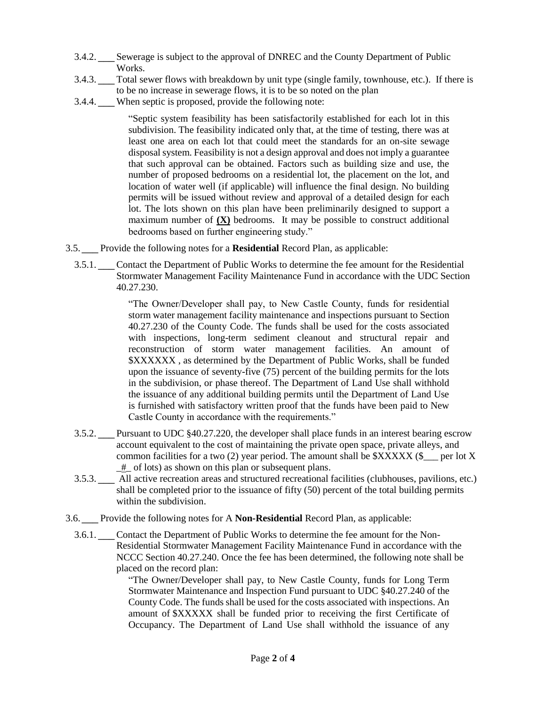- 3.4.2.  $\underline{\uparrow\bullet}$  Sewerage is subject to the approval of DNREC and the County Department of Public Works.
- 3.4.3.  $\underline{N}$  Total sewer flows with breakdown by unit type (single family, townhouse, etc.). If there is to be no increase in sewerage flows, it is to be so noted on the plan
- 3.4.4.  $\underline{\uparrow\bullet}$  When septic is proposed, provide the following note:

"Septic system feasibility has been satisfactorily established for each lot in this subdivision. The feasibility indicated only that, at the time of testing, there was at least one area on each lot that could meet the standards for an on-site sewage disposal system. Feasibility is not a design approval and does not imply a guarantee that such approval can be obtained. Factors such as building size and use, the number of proposed bedrooms on a residential lot, the placement on the lot, and location of water well (if applicable) will influence the final design. No building permits will be issued without review and approval of a detailed design for each lot. The lots shown on this plan have been preliminarily designed to support a maximum number of  $(\underline{X})$  bedrooms. It may be possible to construct additional bedrooms based on further engineering study."

- 3.5. Provide the following notes for a **Residential** Record Plan, as applicable:
- 3.5.1.  $\mathbb{I}$  Contact the Department of Public Works to determine the fee amount for the Residential Stormwater Management Facility Maintenance Fund in accordance with the UDC Section 40.27.230.

"The Owner/Developer shall pay, to New Castle County, funds for residential storm water management facility maintenance and inspections pursuant to Section 40.27.230 of the County Code. The funds shall be used for the costs associated with inspections, long-term sediment cleanout and structural repair and reconstruction of storm water management facilities. An amount of \$XXXXXX , as determined by the Department of Public Works, shall be funded upon the issuance of seventy-five (75) percent of the building permits for the lots in the subdivision, or phase thereof. The Department of Land Use shall withhold the issuance of any additional building permits until the Department of Land Use is furnished with satisfactory written proof that the funds have been paid to New Castle County in accordance with the requirements."

- 3.5.2.  $\underline{\uparrow\bullet}$  Pursuant to UDC §40.27.220, the developer shall place funds in an interest bearing escrow account equivalent to the cost of maintaining the private open space, private alleys, and common facilities for a two (2) year period. The amount shall be  $XXXXX$  (\$ erection by SXXXXX)  $#$  of lots) as shown on this plan or subsequent plans.
- 3.5.3.  $\sum$  All active recreation areas and structured recreational facilities (clubhouses, pavilions, etc.) shall be completed prior to the issuance of fifty (50) percent of the total building permits within the subdivision.
- 3.6. **TE** Provide the following notes for A **Non-Residential** Record Plan, as applicable:
	- 3.6.1.  $\mathbb{I}$  Contact the Department of Public Works to determine the fee amount for the Non-Residential Stormwater Management Facility Maintenance Fund in accordance with the NCCC Section 40.27.240. Once the fee has been determined, the following note shall be placed on the record plan:

"The Owner/Developer shall pay, to New Castle County, funds for Long Term Stormwater Maintenance and Inspection Fund pursuant to UDC §40.27.240 of the County Code. The funds shall be used for the costs associated with inspections. An amount of \$XXXXX shall be funded prior to receiving the first Certificate of Occupancy. The Department of Land Use shall withhold the issuance of any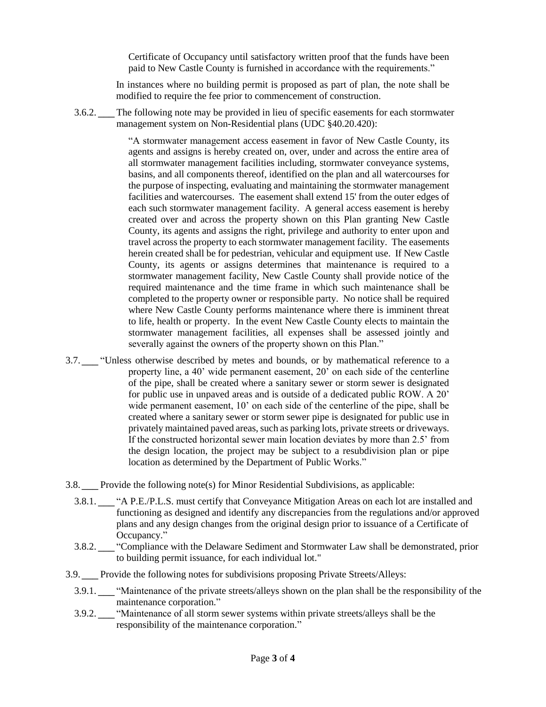Certificate of Occupancy until satisfactory written proof that the funds have been paid to New Castle County is furnished in accordance with the requirements."

In instances where no building permit is proposed as part of plan, the note shall be modified to require the fee prior to commencement of construction.

3.6.2. The following note may be provided in lieu of specific easements for each stormwater management system on Non-Residential plans (UDC §40.20.420):

> "A stormwater management access easement in favor of New Castle County, its agents and assigns is hereby created on, over, under and across the entire area of all stormwater management facilities including, stormwater conveyance systems, basins, and all components thereof, identified on the plan and all watercourses for the purpose of inspecting, evaluating and maintaining the stormwater management facilities and watercourses. The easement shall extend 15' from the outer edges of each such stormwater management facility. A general access easement is hereby created over and across the property shown on this Plan granting New Castle County, its agents and assigns the right, privilege and authority to enter upon and travel across the property to each stormwater management facility. The easements herein created shall be for pedestrian, vehicular and equipment use. If New Castle County, its agents or assigns determines that maintenance is required to a stormwater management facility, New Castle County shall provide notice of the required maintenance and the time frame in which such maintenance shall be completed to the property owner or responsible party. No notice shall be required where New Castle County performs maintenance where there is imminent threat to life, health or property. In the event New Castle County elects to maintain the stormwater management facilities, all expenses shall be assessed jointly and severally against the owners of the property shown on this Plan."

3.7.  $\underline{N}$  "Unless otherwise described by metes and bounds, or by mathematical reference to a property line, a 40' wide permanent easement, 20' on each side of the centerline of the pipe, shall be created where a sanitary sewer or storm sewer is designated for public use in unpaved areas and is outside of a dedicated public ROW. A 20' wide permanent easement, 10' on each side of the centerline of the pipe, shall be created where a sanitary sewer or storm sewer pipe is designated for public use in privately maintained paved areas, such as parking lots, private streets or driveways. If the constructed horizontal sewer main location deviates by more than 2.5' from the design location, the project may be subject to a resubdivision plan or pipe location as determined by the Department of Public Works."

3.8.  $\underline{\mathbb{M}}$  Provide the following note(s) for Minor Residential Subdivisions, as applicable:

- 3.8.1.  $\underline{\uparrow\bullet}$  "A P.E./P.L.S. must certify that Conveyance Mitigation Areas on each lot are installed and functioning as designed and identify any discrepancies from the regulations and/or approved plans and any design changes from the original design prior to issuance of a Certificate of Occupancy."
- 3.8.2.  $\underline{\uparrow\bullet}$  "Compliance with the Delaware Sediment and Stormwater Law shall be demonstrated, prior to building permit issuance, for each individual lot."
- 3.9.  $\boxed{\blacktriangle}$  Provide the following notes for subdivisions proposing Private Streets/Alleys:
	- 3.9.1.  $\underline{\uparrow\bullet}$  "Maintenance of the private streets/alleys shown on the plan shall be the responsibility of the maintenance corporation."
	- 3.9.2.  $\underline{\uparrow\bullet}$  "Maintenance of all storm sewer systems within private streets/alleys shall be the responsibility of the maintenance corporation."